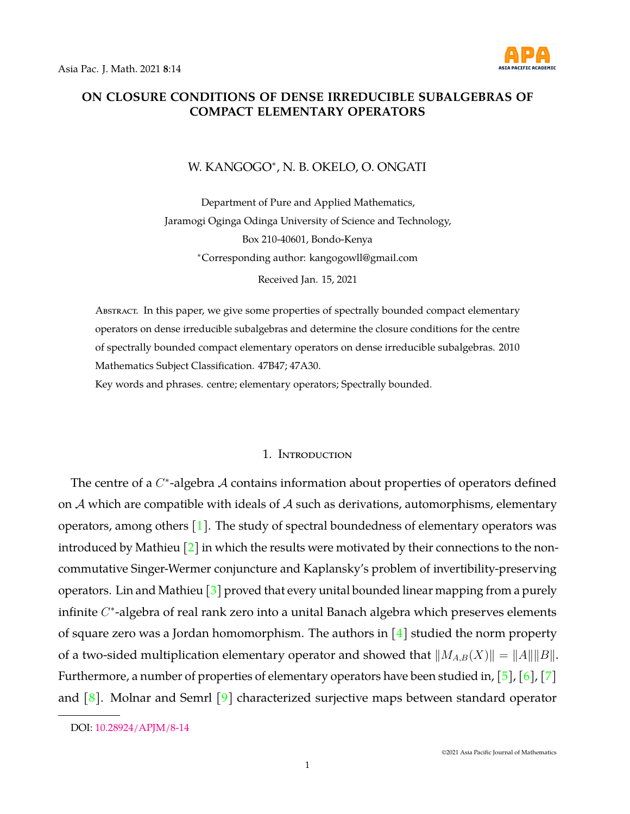

# **ON CLOSURE CONDITIONS OF DENSE IRREDUCIBLE SUBALGEBRAS OF COMPACT ELEMENTARY OPERATORS**

## W. KANGOGO<sup>∗</sup> , N. B. OKELO, O. ONGATI

Department of Pure and Applied Mathematics, Jaramogi Oginga Odinga University of Science and Technology, Box 210-40601, Bondo-Kenya <sup>∗</sup>Corresponding author: kangogowll@gmail.com

Received Jan. 15, 2021

ABSTRACT. In this paper, we give some properties of spectrally bounded compact elementary operators on dense irreducible subalgebras and determine the closure conditions for the centre of spectrally bounded compact elementary operators on dense irreducible subalgebras. 2010 Mathematics Subject Classification. 47B47; 47A30.

Key words and phrases. centre; elementary operators; Spectrally bounded.

## 1. Introduction

The centre of a  $C^*$ -algebra  $\mathcal A$  contains information about properties of operators defined on  $A$  which are compatible with ideals of  $A$  such as derivations, automorphisms, elementary operators, among others [\[1\]](#page-13-0). The study of spectral boundedness of elementary operators was introduced by Mathieu  $\lceil 2 \rceil$  in which the results were motivated by their connections to the noncommutative Singer-Wermer conjuncture and Kaplansky's problem of invertibility-preserving operators. Lin and Mathieu  $\lceil 3 \rceil$  proved that every unital bounded linear mapping from a purely infinite  $C^*$ -algebra of real rank zero into a unital Banach algebra which preserves elements of square zero was a Jordan homomorphism. The authors in  $[4]$  studied the norm property of a two-sided multiplication elementary operator and showed that  $||M_{A,B}(X)|| = ||A|| ||B||$ . Furthermore, a number of properties of elementary operators have been studied in,  $[5]$ ,  $[6]$ ,  $[7]$ and  $[8]$ . Molnar and Semrl  $[9]$  characterized surjective maps between standard operator

DOI: [10.28924/APJM/8-14](https://doi.org/10.28924/APJM/8-14)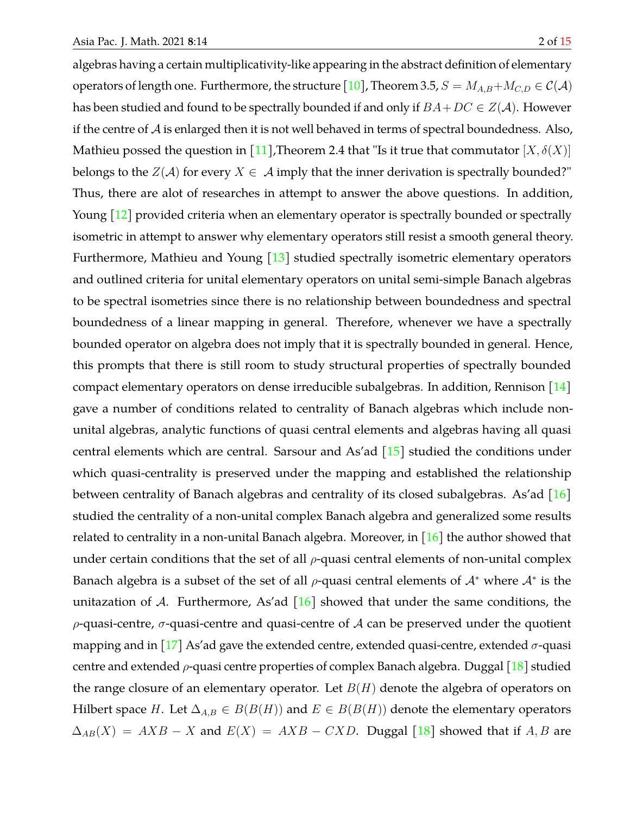algebras having a certain multiplicativity-like appearing in the abstract definition of elementary operators of length one. Furthermore, the structure [\[10\]](#page-13-9), Theorem 3.5,  $S = M_{A,B} + M_{C,D} \in \mathcal{C}(\mathcal{A})$ has been studied and found to be spectrally bounded if and only if  $BA+DC \in Z(\mathcal{A})$ . However if the centre of  $A$  is enlarged then it is not well behaved in terms of spectral boundedness. Also, Mathieu possed the question in [\[11\]](#page-13-10), Theorem 2.4 that "Is it true that commutator  $[X, \delta(X)]$ belongs to the  $Z(\mathcal{A})$  for every  $X \in \mathcal{A}$  imply that the inner derivation is spectrally bounded?" Thus, there are alot of researches in attempt to answer the above questions. In addition, Young [\[12\]](#page-13-11) provided criteria when an elementary operator is spectrally bounded or spectrally isometric in attempt to answer why elementary operators still resist a smooth general theory. Furthermore, Mathieu and Young  $\left[13\right]$  studied spectrally isometric elementary operators and outlined criteria for unital elementary operators on unital semi-simple Banach algebras to be spectral isometries since there is no relationship between boundedness and spectral boundedness of a linear mapping in general. Therefore, whenever we have a spectrally bounded operator on algebra does not imply that it is spectrally bounded in general. Hence, this prompts that there is still room to study structural properties of spectrally bounded compact elementary operators on dense irreducible subalgebras. In addition, Rennison [\[14\]](#page-14-1) gave a number of conditions related to centrality of Banach algebras which include nonunital algebras, analytic functions of quasi central elements and algebras having all quasi central elements which are central. Sarsour and As'ad  $\left[15\right]$  studied the conditions under which quasi-centrality is preserved under the mapping and established the relationship between centrality of Banach algebras and centrality of its closed subalgebras. As'ad [\[16\]](#page-14-3) studied the centrality of a non-unital complex Banach algebra and generalized some results related to centrality in a non-unital Banach algebra. Moreover, in [\[16\]](#page-14-3) the author showed that under certain conditions that the set of all  $\rho$ -quasi central elements of non-unital complex Banach algebra is a subset of the set of all  $\rho$ -quasi central elements of  $\mathcal{A}^*$  where  $\mathcal{A}^*$  is the unitazation of A. Furthermore, As'ad  $[16]$  showed that under the same conditions, the  $\rho$ -quasi-centre,  $\sigma$ -quasi-centre and quasi-centre of A can be preserved under the quotient mapping and in [\[17\]](#page-14-4) As'ad gave the extended centre, extended quasi-centre, extended  $\sigma$ -quasi centre and extended  $\rho$ -quasi centre properties of complex Banach algebra. Duggal [\[18\]](#page-14-5) studied the range closure of an elementary operator. Let  $B(H)$  denote the algebra of operators on Hilbert space H. Let  $\Delta_{A,B} \in B(B(H))$  and  $E \in B(B(H))$  denote the elementary operators  $\Delta_{AB}(X) = AXB - X$  and  $E(X) = AXB - CXD$ . Duggal [\[18\]](#page-14-5) showed that if A, B are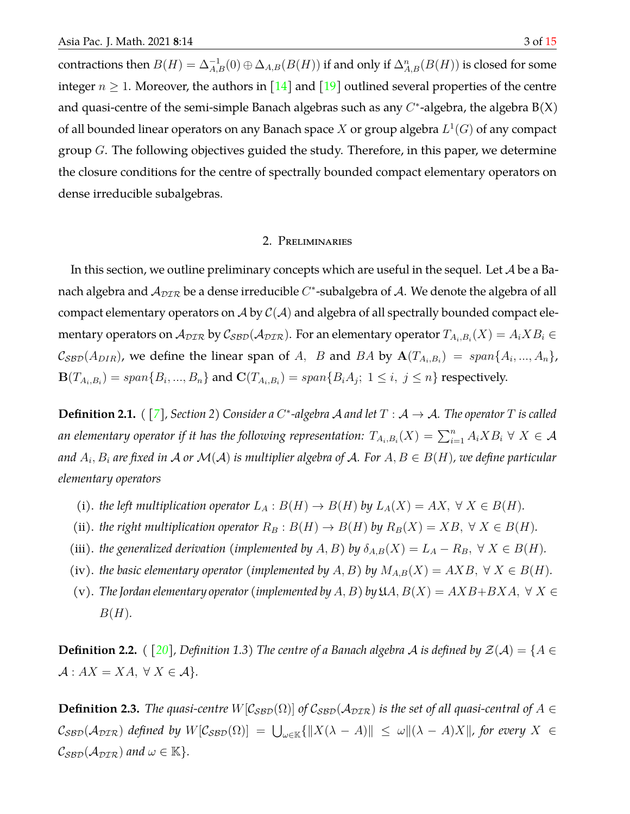contractions then  $B(H)=\Delta_{A,B}^{-1}(0)\oplus \Delta_{A,B}(B(H))$  if and only if  $\Delta_{A,B}^n(B(H))$  is closed for some integer  $n \geq 1$ . Moreover, the authors in [\[14\]](#page-14-1) and [\[19\]](#page-14-6) outlined several properties of the centre and quasi-centre of the semi-simple Banach algebras such as any  $C^*$ -algebra, the algebra  $B(X)$ of all bounded linear operators on any Banach space  $X$  or group algebra  $L^1(G)$  of any compact group  $G$ . The following objectives guided the study. Therefore, in this paper, we determine the closure conditions for the centre of spectrally bounded compact elementary operators on

dense irreducible subalgebras.

## 2. Preliminaries

In this section, we outline preliminary concepts which are useful in the sequel. Let  $A$  be a Banach algebra and  $\mathcal{A}_{D\mathcal{I}\mathcal{R}}$  be a dense irreducible  $C^*$ -subalgebra of  $\mathcal{A}.$  We denote the algebra of all compact elementary operators on A by  $C(A)$  and algebra of all spectrally bounded compact elementary operators on  $\mathcal A_{\cal DIR}$  by  $\mathcal C_{\cal SBD}(\mathcal A_{\cal DIR}).$  For an elementary operator  $T_{A_i,B_i}(X)=A_iXB_i\in$  $\mathcal{C}_{\mathcal{SBD}}(A_{DIR})$ , we define the linear span of A, B and BA by  $\mathbf{A}(T_{A_i,B_i}) = span\{A_i,...,A_n\}$ ,  ${\bf B}(T_{A_i,B_i})=span\{B_i,...,B_n\}$  and  ${\bf C}(T_{A_i,B_i})=span\{B_iA_j;\;1\leq i,\;j\leq n\}$  respectively.

**Definition 2.1.** (  $[7]$ *, Section 2*) Consider a C<sup>\*</sup>-algebra A and let  $T : A \rightarrow A$ . The operator T is called an elementary operator if it has the following representation:  $T_{A_i,B_i}(X)=\sum_{i=1}^n A_i X B_i \ \forall \ X \in \mathcal{A}$ and  $A_i, B_i$  are fixed in  ${\cal A}$  or  ${\cal M}({\cal A})$  is multiplier algebra of  ${\cal A}.$  For  $A, B\in B(H)$ , we define particular *elementary operators*

- (i). *the left multiplication operator*  $L_A : B(H) \to B(H)$  *by*  $L_A(X) = AX, \forall X \in B(H)$ *.*
- (ii). *the right multiplication operator*  $R_B : B(H) \to B(H)$  *by*  $R_B(X) = XB, \forall X \in B(H)$ *.*
- (iii). *the generalized derivation (implemented by A, B) by*  $\delta_{A,B}(X) = L_A R_B$ ,  $\forall X \in B(H)$ .
- (iv). *the basic elementary operator (implemented by*  $A, B$ ) *by*  $M_{A,B}(X) = AXB, \forall X \in B(H)$ .
- (v). *The Jordan elementary operator (implemented by A, B) by*  $\mathfrak{U}A, B(X) = AXB+BXA, \forall X \in$ B(H)*.*

<span id="page-2-1"></span>**Definition 2.2.** *(*  $[20]$ *, Definition 1.3) The centre of a Banach algebra A is defined by*  $\mathcal{Z}(\mathcal{A}) = \{A \in$  $\mathcal{A}: AX = XA, \ \forall X \in \mathcal{A}\}.$ 

<span id="page-2-0"></span>**Definition 2.3.** *The quasi-centre*  $W[\mathcal{C}_{\text{SBD}}(\Omega)]$  *of*  $\mathcal{C}_{\text{SBD}}(\mathcal{A}_{\text{DIR}})$  *is the set of all quasi-central of*  $A \in$  $\mathcal{C}_{\mathcal{SBD}}(\mathcal{A}_{\mathcal{DIR}})$  defined by  $W[\mathcal{C}_{\mathcal{SBD}}(\Omega)] = \bigcup_{\omega\in\mathbb{K}}\{\|X(\lambda - A)\| \leq |\omega| |(\lambda - A)X\|,$  for every  $X \in$  $\mathcal{C}_{\mathcal{SBD}}(\mathcal{A}_{\mathcal{DIR}})$  and  $\omega \in \mathbb{K}$ .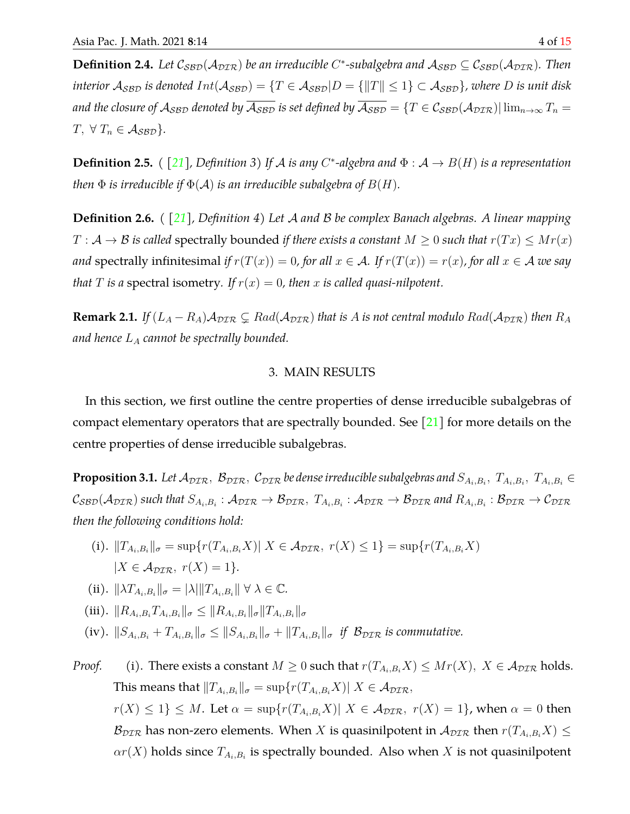**Definition 2.4.** Let  $C_{SBD}(A_{DTR})$  be an irreducible C<sup>\*</sup>-subalgebra and  $A_{SBD} \subseteq C_{SBD}(A_{DTR})$ . Then *interior*  $A_{SBD}$  *is denoted*  $Int(A_{SBD}) = \{T \in A_{SBD} | D = \{||T|| \leq 1\} \subset A_{SBD}\}$ *, where* D *is unit disk and the closure of*  $A_{SBD}$  *denoted by*  $\overline{A_{SBD}}$  *is set defined by*  $\overline{A_{SBD}} = \{T \in C_{SBD}(A_{DTR}) | \lim_{n \to \infty} T_n =$  $T, \forall T_n \in \mathcal{A}_{\mathcal{SBD}}$ .

**Definition 2.5.** ( [\[21\]](#page-14-8), Definition 3) If A is any C<sup>\*</sup>-algebra and  $\Phi : A \to B(H)$  is a representation *then*  $\Phi$  *is irreducible if*  $\Phi(\mathcal{A})$  *is an irreducible subalgebra of*  $B(H)$ *.* 

**Definition 2.6.** *( [\[21\]](#page-14-8), Definition 4) Let* A *and* B *be complex Banach algebras. A linear mapping*  $T: \mathcal{A} \to \mathcal{B}$  *is called* spectrally bounded *if there exists a constant*  $M \geq 0$  *such that*  $r(Tx) \leq Mr(x)$ *and* spectrally infinitesimal *if*  $r(T(x)) = 0$ *, for all*  $x \in A$ *. If*  $r(T(x)) = r(x)$ *, for all*  $x \in A$  *we say that T is a* spectral isometry. If  $r(x) = 0$ , then *x is called quasi-nilpotent.* 

**Remark 2.1.** *If*  $(L_A - R_A)A_{\text{DIR}} \subsetneq Rad(A_{\text{DIR}})$  *that is A is not central modulo*  $Rad(A_{\text{DIR}})$  *then*  $R_A$ and hence  $L_A$  cannot be spectrally bounded.

## 3. MAIN RESULTS

In this section, we first outline the centre properties of dense irreducible subalgebras of compact elementary operators that are spectrally bounded. See  $[21]$  for more details on the centre properties of dense irreducible subalgebras.

**Proposition 3.1.** Let  $\mathcal{A}_{DIR},~\mathcal{B}_{DIR},~\mathcal{C}_{DIR}$  be dense irreducible subalgebras and  $S_{A_i,B_i},~T_{A_i,B_i},~T_{A_i,B_i}\in$  $\mathcal{C}_{\mathcal{SBD}}(\mathcal{A}_{\mathcal{DIR}})$  such that  $S_{A_i,B_i}:\mathcal{A}_{\mathcal{DIR}}\to\mathcal{B}_{\mathcal{DIR}},~T_{A_i,B_i}:\mathcal{A}_{\mathcal{DIR}}\to\mathcal{B}_{\mathcal{DIR}}$  and  $R_{A_i,B_i}:\mathcal{B}_{\mathcal{DIR}}\to\mathcal{C}_{\mathcal{DIR}}$ *then the following conditions hold:*

- (i).  $||T_{A_i,B_i}||_{\sigma} = \sup\{r(T_{A_i,B_i}X)| X \in \mathcal{A}_{\mathcal{DIR}}, r(X) \leq 1\} = \sup\{r(T_{A_i,B_i}X)\}$  $|X \in \mathcal{A}_{\mathcal{DIR}}, r(X) = 1\}.$
- (ii).  $\|\lambda T_{A_i,B_i}\|_{\sigma} = |\lambda| \|T_{A_i,B_i}\| \forall \lambda \in \mathbb{C}$ .
- (iii).  $||R_{A_i,B_i}T_{A_i,B_i}||_{\sigma}\leq ||R_{A_i,B_i}||_{\sigma}||T_{A_i,B_i}||_{\sigma}$
- (iv).  $||S_{A_i,B_i} + T_{A_i,B_i}||_{\sigma} \le ||S_{A_i,B_i}||_{\sigma} + ||T_{A_i,B_i}||_{\sigma}$  *if*  $B_{\text{DTR}}$  *is commutative.*

*Proof.* (i). There exists a constant  $M \geq 0$  such that  $r(T_{A_i,B_i}X) \leq Mr(X), X \in \mathcal{A}_{\text{DTR}}$  holds. This means that  $\|T_{A_i,B_i}\|_\sigma = \sup\{r(T_{A_i,B_i}X)|\ X\in\mathcal{A_{DIR}},\}$  $r(X) \leq 1$   $\leq M$ . Let  $\alpha = \sup\{r(T_{A_i,B_i}X) | X \in \mathcal{A}_{\text{DIR}}$ ,  $r(X) = 1\}$ , when  $\alpha = 0$  then  $\mathcal{B}_{\text{DIR}}$  has non-zero elements. When X is quasinilpotent in  $\mathcal{A}_{\text{DIR}}$  then  $r(T_{A_i,B_i}X) \leq$  $\alpha r(X)$  holds since  $T_{A_i,B_i}$  is spectrally bounded. Also when  $X$  is not quasinilpotent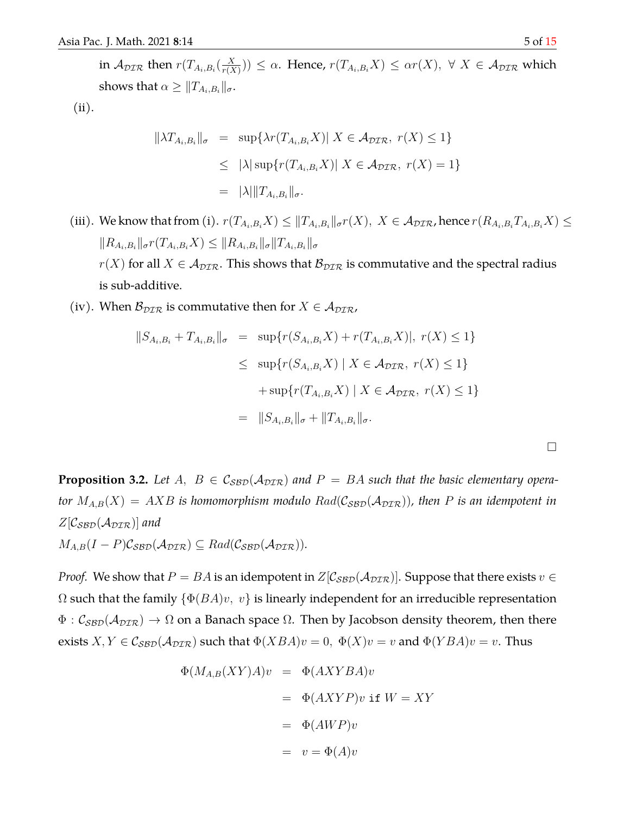$\Box$ 

in  $\mathcal{A}_{\mathcal{DIR}}$  then  $r(T_{A_i,B_i}(\frac{X}{r(X)}))$  $(\frac{X}{r(X)})) \leq \alpha$ . Hence,  $r(T_{A_i,B_i}X) \leq \alpha r(X), \ \forall \ X \in \mathcal{A}_{\mathcal{DIR}}$  which shows that  $\alpha \geq \|T_{A_i,B_i}\|_{\sigma}.$ 

(ii).

$$
\|\lambda T_{A_i, B_i}\|_{\sigma} = \sup \{\lambda r(T_{A_i, B_i} X) | X \in \mathcal{A}_{\text{DTR}}, r(X) \le 1\}
$$
  

$$
\le |\lambda| \sup \{r(T_{A_i, B_i} X) | X \in \mathcal{A}_{\text{DTR}}, r(X) = 1\}
$$
  

$$
= |\lambda| \|T_{A_i, B_i}\|_{\sigma}.
$$

- (iii). We know that from (i).  $r(T_{A_i,B_i}X) \leq ||T_{A_i,B_i}||_{\sigma}r(X), X \in \mathcal{A}_{\mathcal{DIR}}$ , hence  $r(R_{A_i,B_i}T_{A_i,B_i}X) \leq$  $||R_{A_i,B_i}||_{\sigma}r(T_{A_i,B_i}X) \leq ||R_{A_i,B_i}||_{\sigma}||T_{A_i,B_i}||_{\sigma}$  $r(X)$  for all  $X \in A_{\text{DIR}}$ . This shows that  $B_{\text{DIR}}$  is commutative and the spectral radius is sub-additive.
- (iv). When  $\mathcal{B}_{\text{DTR}}$  is commutative then for  $X \in \mathcal{A}_{\text{DTR}}$ ,

$$
||S_{A_i, B_i} + T_{A_i, B_i}||_{\sigma} = \sup \{r(S_{A_i, B_i}X) + r(T_{A_i, B_i}X)|, r(X) \le 1\}
$$
  

$$
\le \sup \{r(S_{A_i, B_i}X) \mid X \in \mathcal{A}_{\mathcal{D}\mathcal{I}\mathcal{R}}, r(X) \le 1\}
$$
  

$$
+ \sup \{r(T_{A_i, B_i}X) \mid X \in \mathcal{A}_{\mathcal{D}\mathcal{I}\mathcal{R}}, r(X) \le 1\}
$$
  

$$
= ||S_{A_i, B_i}||_{\sigma} + ||T_{A_i, B_i}||_{\sigma}.
$$

<span id="page-4-0"></span>**Proposition 3.2.** Let A,  $B \in C_{\text{SBD}}(\mathcal{A}_{\text{DIR}})$  and  $P = BA$  such that the basic elementary opera*tor*  $M_{A,B}(X) = AXB$  *is homomorphism modulo*  $Rad(\mathcal{C}_{\mathcal{SBD}}(\mathcal{A}_{\mathcal{DIR}}))$ *, then* P *is an idempotent in*  $Z[\mathcal{C}_{\mathcal{SBD}}(\mathcal{A}_{\mathcal{DIR}})]$  and  $M_{A,B}(I-P)\mathcal{C}_{\mathcal{SBD}}(\mathcal{A}_{\mathcal{DIR}})\subseteq Rad(\mathcal{C}_{\mathcal{SBD}}(\mathcal{A}_{\mathcal{DIR}})).$ 

*Proof.* We show that  $P = BA$  is an idempotent in  $Z[\mathcal{C}_{\mathcal{SBD}}(\mathcal{A}_{\mathcal{DIR}})]$ . Suppose that there exists  $v \in \mathcal{C}$  $\Omega$  such that the family  $\{\Phi(BA)v, v\}$  is linearly independent for an irreducible representation  $\Phi : \mathcal{C}_{\text{SBD}}(\mathcal{A}_{\text{DIR}}) \to \Omega$  on a Banach space  $\Omega$ . Then by Jacobson density theorem, then there exists  $X, Y \in \mathcal{C}_{\mathcal{SBD}}(\mathcal{A}_{\mathcal{DIR}})$  such that  $\Phi(XBA)v = 0$ ,  $\Phi(X)v = v$  and  $\Phi(YBA)v = v$ . Thus

$$
\Phi(M_{A,B}(XY)A)v = \Phi(AXYBA)v
$$
  
= 
$$
\Phi(AXYP)v \text{ if } W = XY
$$
  
= 
$$
\Phi(AWP)v
$$
  
= 
$$
v = \Phi(A)v
$$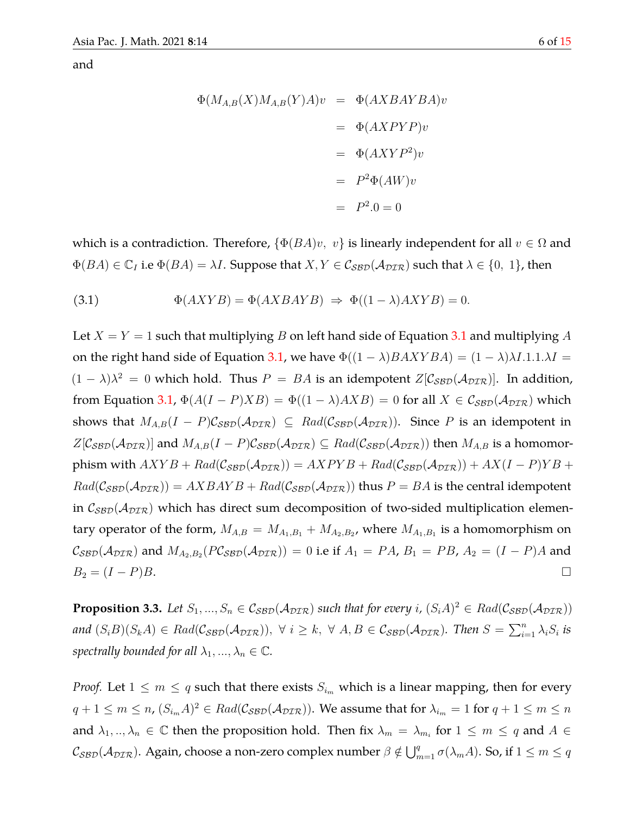and

<span id="page-5-0"></span>
$$
\Phi(M_{A,B}(X)M_{A,B}(Y)A)v = \Phi(AXBAYBA)v
$$
  
= 
$$
\Phi(AXPYP)v
$$
  
= 
$$
\Phi(AXYP^2)v
$$
  
= 
$$
P^2\Phi(AW)v
$$
  
= 
$$
P^2.0 = 0
$$

which is a contradiction. Therefore,  $\{\Phi(BA)v, v\}$  is linearly independent for all  $v \in \Omega$  and  $\Phi(BA) \in \mathbb{C}_I$  i.e  $\Phi(BA) = \lambda I$ . Suppose that  $X, Y \in \mathcal{C}_{\mathcal{SBD}}(\mathcal{A}_{\mathcal{DIR}})$  such that  $\lambda \in \{0, 1\}$ , then

(3.1) 
$$
\Phi(AXYB) = \Phi(AXBAYB) \Rightarrow \Phi((1-\lambda)AXYB) = 0.
$$

Let  $X = Y = 1$  such that multiplying B on left hand side of Equation [3.1](#page-5-0) and multiplying A on the right hand side of Equation [3.1,](#page-5-0) we have  $\Phi((1 - \lambda)BAXYBA) = (1 - \lambda)\lambda I.1.1.\lambda I =$  $(1 - \lambda)\lambda^2 = 0$  which hold. Thus  $P = BA$  is an idempotent  $Z[\mathcal{C}_{\mathcal{SBD}}(\mathcal{A}_{\mathcal{DIR}})]$ . In addition, from Equation [3.1,](#page-5-0)  $\Phi(A(I - P)XB) = \Phi((1 - \lambda)AXB) = 0$  for all  $X \in \mathcal{C}_{\text{SBD}}(\mathcal{A}_{\text{DIR}})$  which shows that  $M_{A,B}(I - P)\mathcal{C}_{\mathcal{SBD}}(\mathcal{A}_{\mathcal{DIR}}) \subseteq Rad(\mathcal{C}_{\mathcal{SBD}}(\mathcal{A}_{\mathcal{DIR}})).$  Since P is an idempotent in  $Z[\mathcal{C}_{\mathcal{SBD}}(\mathcal{A}_{\mathcal{DIR}})]$  and  $M_{A,B}(I-P)\mathcal{C}_{\mathcal{SBD}}(\mathcal{A}_{\mathcal{DIR}}) \subseteq Rad(\mathcal{C}_{\mathcal{SBD}}(\mathcal{A}_{\mathcal{DIR}}))$  then  $M_{A,B}$  is a homomorphism with  $AXYB + Rad(C_{\mathcal{SBD}}(\mathcal{A}_{\mathcal{DIR}})) = AXPYB + Rad(C_{\mathcal{SBD}}(\mathcal{A}_{\mathcal{DIR}})) + AX(I - P)YB +$  $Rad(\mathcal{C}_{\mathcal{SBD}}(\mathcal{A}_{\mathcal{DIR}})) = AXBAYB + Rad(\mathcal{C}_{\mathcal{SBD}}(\mathcal{A}_{\mathcal{DIR}}))$  thus  $P = BA$  is the central idempotent in  $C_{\text{SBD}}(\mathcal{A}_{\text{DIR}})$  which has direct sum decomposition of two-sided multiplication elementary operator of the form,  $M_{A,B} = M_{A_1,B_1} + M_{A_2,B_2}$ , where  $M_{A_1,B_1}$  is a homomorphism on  $\mathcal{C}_{\mathcal{SBD}}(\mathcal{A}_{\mathcal{DIR}})$  and  $M_{A_2,B_2}(P\mathcal{C}_{\mathcal{SBD}}(\mathcal{A}_{\mathcal{DIR}})) = 0$  i.e if  $A_1=P A$ ,  $B_1=P B$ ,  $A_2=(I-P)A$  and  $B_2 = (I - P)B.$ 

<span id="page-5-1"></span>**Proposition 3.3.** Let  $S_1, ..., S_n \in C_{SBD}(\mathcal{A}_{DTR})$  such that for every i,  $(S_i A)^2 \in Rad(C_{SBD}(\mathcal{A}_{DTR}))$  $and (S_iB)(S_kA) \in Rad(\mathcal{C}_{\mathcal{SBD}}(\mathcal{A}_{\mathcal{DIR}})), \ \forall \ i \geq k, \ \forall \ A, B \in \mathcal{C}_{\mathcal{SBD}}(\mathcal{A}_{\mathcal{DIR}}).$  Then  $S = \sum_{i=1}^n \lambda_i S_i$  is *spectrally bounded for all*  $\lambda_1, ..., \lambda_n \in \mathbb{C}$ *.* 

*Proof.* Let  $1 \leq m \leq q$  such that there exists  $S_{i_m}$  which is a linear mapping, then for every  $q+1\leq m\leq n$ ,  $(S_{i_m}A)^2\in Rad(\mathcal{C}_{\mathcal{SBD}}(\mathcal{A}_{\mathcal{DIR}})).$  We assume that for  $\lambda_{i_m}=1$  for  $q+1\leq m\leq n$ and  $\lambda_1, ..., \lambda_n \in \mathbb{C}$  then the proposition hold. Then fix  $\lambda_m = \lambda_{m_i}$  for  $1 \leq m \leq q$  and  $A \in$  $\mathcal{C}_{\mathcal{SBD}}(\mathcal{A}_{\mathcal{DIR}})$ . Again, choose a non-zero complex number  $\beta\notin \bigcup_{m=1}^q\sigma(\lambda_m A)$ . So, if  $1\leq m\leq q$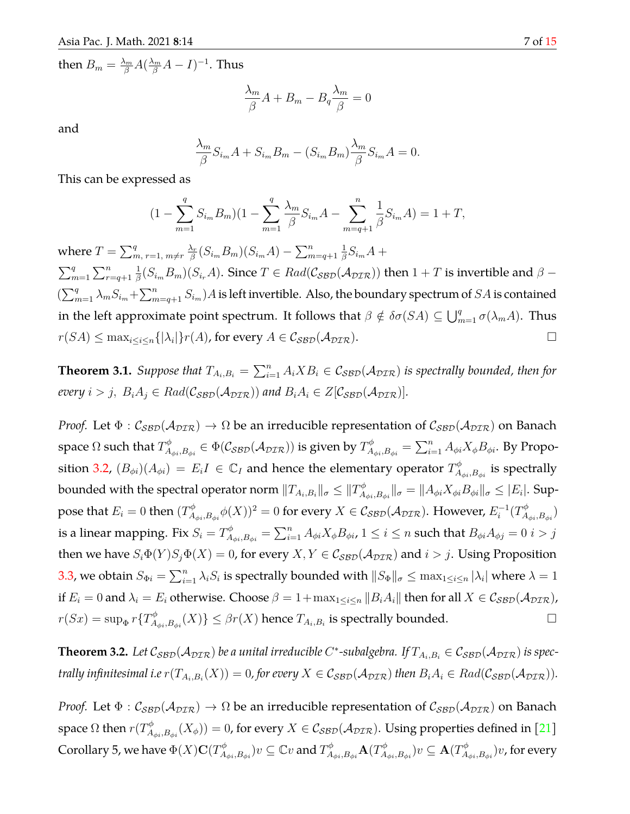then  $B_m = \frac{\lambda_m}{\beta} A (\frac{\lambda_m}{\beta} A - I)^{-1}$ . Thus

$$
\frac{\lambda_m}{\beta}A + B_m - B_q \frac{\lambda_m}{\beta} = 0
$$

and

$$
\frac{\lambda_m}{\beta} S_{i_m} A + S_{i_m} B_m - (S_{i_m} B_m) \frac{\lambda_m}{\beta} S_{i_m} A = 0.
$$

This can be expressed as

$$
(1 - \sum_{m=1}^{q} S_{i_m} B_m)(1 - \sum_{m=1}^{q} \frac{\lambda_m}{\beta} S_{i_m} A - \sum_{m=q+1}^{n} \frac{1}{\beta} S_{i_m} A) = 1 + T,
$$

where  $T = \sum_{m, r=1, m \neq r}^{q} \frac{\lambda_r}{\beta}$  $\frac{\lambda_r}{\beta}(S_{i_m}B_m)(S_{i_m}A)-\sum_{m=q+1}^n$ 1  $\frac{1}{\beta}S_{i_m}A +$  $\sum_{m=1}^{q} \sum_{r=q+1}^{n}$ 1  $\frac{1}{\beta}(S_{i_m}B_m)(S_{i_r}A).$  Since  $T\in Rad(\mathcal{C}_{\mathcal{SBD}}(\mathcal{A}_{\mathcal{DIR}}))$  then  $1+T$  is invertible and  $\beta (\sum_{m=1}^q\lambda_mS_{i_m}+\sum_{m=q+1}^nS_{i_m})A$  is left invertible. Also, the boundary spectrum of  $SA$  is contained in the left approximate point spectrum. It follows that  $\beta \notin \delta\sigma(SA) \subseteq \bigcup_{m=1}^q \sigma(\lambda_m A)$ . Thus  $r(SA) \leq \max_{i \leq i \leq n} \{|\lambda_i|\} r(A)$ , for every  $A \in \mathcal{C}_{\mathcal{SBD}}(\mathcal{A}_{\mathcal{DIR}})$ .

**Theorem 3.1.** Suppose that  $T_{A_i,B_i} = \sum_{i=1}^n A_i X B_i \in \mathcal{C_{SBD}}(\mathcal{A_{DIR}})$  is spectrally bounded, then for *every*  $i > j$ ,  $B_i A_j \in Rad(C_{\mathcal{SBD}}(\mathcal{A}_{\mathcal{DIR}}))$  and  $B_i A_i \in Z[\mathcal{C}_{\mathcal{SBD}}(\mathcal{A}_{\mathcal{DIR}})].$ 

*Proof.* Let  $\Phi$  :  $C_{\text{SBD}}(\mathcal{A}_{\text{DIR}}) \to \Omega$  be an irreducible representation of  $C_{\text{SBD}}(\mathcal{A}_{\text{DIR}})$  on Banach space  $\Omega$  such that  $T_A^\phi$  $\mathcal{A}_{\phi i, B_{\phi i}}^{\phi} \in \Phi(\mathcal{C_{SBD}}(\mathcal{A_{DIR}}))$  is given by  $T_A^{\phi}$  $\mathcal{A}_{\phi i, B_{\phi i}}^{\phi} = \sum_{i=1}^n A_{\phi i} X_{\phi} B_{\phi i}.$  By Propo-sition [3.2,](#page-4-0)  $(B_{\phi i})(A_{\phi i}) = E_i I \in \mathbb{C}_I$  and hence the elementary operator  $T_A^{\phi}$  $\mathcal{A}_{\phi i}, \mathcal{B}_{\phi i}$  is spectrally bounded with the spectral operator norm  $\|T_{A_i,B_i}\|_{\sigma}\leq\|T_A^{\phi}$  $\mathbb{E}_{A_{\phi i},B_{\phi i}}^{\phi} \|_{\sigma} = \|A_{\phi i} X_{\phi i} B_{\phi i}\|_{\sigma} \leq |E_i|.$  Suppose that  $E_i=0$  then  $(T_A^{\phi})$  $\mathcal{A}_{\phi i, B_{\phi i}}^{\phi} \phi(X) )^2 = 0$  for every  $X \in \mathcal{C}_{\mathcal{SBD}}(\mathcal{A}_{\mathcal{DIR}})$ . However,  $E_i^{-1}$  $i^{-1}(T_A^{\phi}$  $A_{\phi i},B_{\phi i})$ is a linear mapping. Fix  $S_i = T_A^\phi$  $A^{\phi}_{\phi i, B_{\phi i}} = \sum_{i=1}^n A_{\phi i} X_{\phi} B_{\phi i}$ ,  $1 \leq i \leq n$  such that  $B_{\phi i} A_{\phi j} = 0$   $i > j$ then we have  $S_i\Phi(Y)S_j\Phi(X) = 0$ , for every  $X, Y \in \mathcal{C}_{\mathcal{SBD}}(\mathcal{A}_{\mathcal{DIR}})$  and  $i > j$ . Using Proposition [3.3,](#page-5-1) we obtain  $S_{\Phi i} = \sum_{i=1}^n \lambda_i S_i$  is spectrally bounded with  $||S_{\Phi}||_{\sigma} \leq \max_{1 \leq i \leq n} |\lambda_i|$  where  $\lambda = 1$ if  $E_i = 0$  and  $\lambda_i = E_i$  otherwise. Choose  $\beta = 1 + \max_{1 \leq i \leq n} ||B_i A_i||$  then for all  $X \in C_{\text{SBD}}(\mathcal{A}_{\text{DTR}})$ ,  $r(Sx) = \sup_{\Phi} r\{T_A^{\phi}$  $\mathcal{A}_{\phi_i,B_{\phi i}}(X) \} \leq \beta r(X)$  hence  $T_{A_i,B_i}$  is spectrally bounded.

 $\bf Theorem~3.2.$  Let  $\cal C_{SBD}(A_{DIR})$  be a unital irreducible  $C^*$ -subalgebra. If  $T_{A_i,B_i}\in\cal C_{SBD}(A_{DIR})$  is spec*trally infinitesimal i.e*  $r(T_{A_i,B_i}(X)) = 0$ , for every  $X \in C_{\cal SBD}(\cal A_{\cal DIR})$  then  $B_iA_i \in Rad(C_{\cal SBD}(\cal A_{\cal DIR})).$ 

*Proof.* Let  $\Phi$  :  $C_{\text{SBD}}(\mathcal{A}_{\text{DIR}}) \to \Omega$  be an irreducible representation of  $C_{\text{SBD}}(\mathcal{A}_{\text{DIR}})$  on Banach space  $\Omega$  then  $r(T_A^\phi)$  $\mathcal{A}_{\phi_i,B_{\phi i}}^{\phi}(X_{\phi}))=0$ , for every  $X\in\mathcal{C}_{\mathcal{SBD}}(\mathcal{A}_{\mathcal{DIR}}).$  Using properties defined in  $[21]$ Corollary 5, we have  $\Phi(X) {\bf C} (T_A^{\phi})$  $(\mathbb{Z}_{A_{\phi i},B_{\phi i}}^{\phi})v\subseteq\mathbb{C} v\text{ and }T_{A}^{\phi}$  $\overline{A}_{\phi i},\overline{B}_{\phi i}$ A $(T_{A}^{\phi})$  $(\mathcal{A}_{\phi i},B_{\phi i})v\subseteq \mathbf{A}(T_A^\phi)$  $\pi_{A_{\phi i},B_{\phi i}}^{\phi})v$ , for every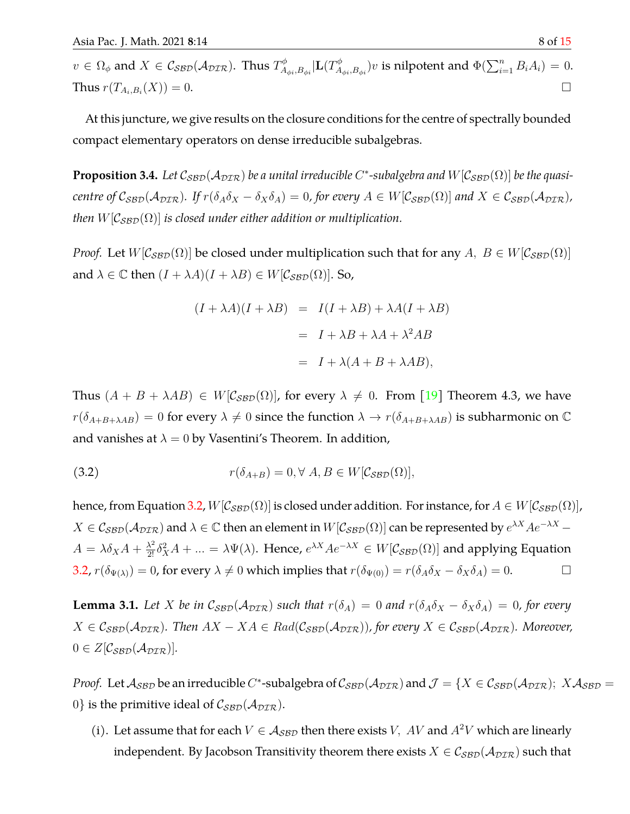$v\,\in\,\Omega_\phi$  and  $X\,\in\,\mathcal{C}_{\mathcal{SBD}}(\mathcal{A}_{\mathcal{DIR}}).$  Thus  $T_A^\phi$  $_{A_{\phi i},B_{\phi i}}^{A_{\phi i},B_{\phi i}}|\mathbf{L}(T_A^{\phi})|$  $(\mathbb{A}_{\phi_i,B_{\phi i}}^{\phi_i})v$  is nilpotent and  $\Phi(\sum_{i=1}^n B_iA_i)=0.$ Thus  $r(T_{A_i,B_i}(X)) = 0$ .  $(X)) = 0.$ 

At this juncture, we give results on the closure conditions for the centre of spectrally bounded compact elementary operators on dense irreducible subalgebras.

<span id="page-7-1"></span>**Proposition 3.4.** Let  $C_{SBD}(A_{DTR})$  be a unital irreducible C\*-subalgebra and  $W[C_{SBD}(\Omega)]$  be the quasi*centre of*  $C_{SBD}(A_{DTR})$ *. If*  $r(\delta_A \delta_X - \delta_X \delta_A) = 0$ *, for every*  $A \in W[C_{SBD}(\Omega)]$  *and*  $X \in C_{SBD}(A_{DTR})$ *, then*  $W[\mathcal{C}_{\mathcal{SBD}}(\Omega)]$  *is closed under either addition or multiplication.* 

*Proof.* Let  $W[\mathcal{C}_{\text{SBD}}(\Omega)]$  be closed under multiplication such that for any  $A, B \in W[\mathcal{C}_{\text{SBD}}(\Omega)]$ and  $\lambda \in \mathbb{C}$  then  $(I + \lambda A)(I + \lambda B) \in W[\mathcal{C}_{\mathcal{B} \mathcal{D}}(\Omega)].$  So,

<span id="page-7-0"></span>
$$
(I + \lambda A)(I + \lambda B) = I(I + \lambda B) + \lambda A(I + \lambda B)
$$

$$
= I + \lambda B + \lambda A + \lambda^2 AB
$$

$$
= I + \lambda (A + B + \lambda AB),
$$

Thus  $(A + B + \lambda AB) \in W[\mathcal{C}_{\mathcal{SBD}}(\Omega)]$ , for every  $\lambda \neq 0$ . From [\[19\]](#page-14-6) Theorem 4.3, we have  $r(\delta_{A+B+\lambda AB}) = 0$  for every  $\lambda \neq 0$  since the function  $\lambda \rightarrow r(\delta_{A+B+\lambda AB})$  is subharmonic on  $\mathbb C$ and vanishes at  $\lambda = 0$  by Vasentini's Theorem. In addition,

(3.2) 
$$
r(\delta_{A+B}) = 0, \forall A, B \in W[\mathcal{C}_{\mathcal{SBD}}(\Omega)],
$$

hence, from Equation [3.2,](#page-7-0)  $W[\mathcal{C}_{\mathcal{SBD}}(\Omega)]$  is closed under addition. For instance, for  $A \in W[\mathcal{C}_{\mathcal{SBD}}(\Omega)]$ ,  $X \in \mathcal{C}_{\mathcal{SBD}}(\mathcal{A}_{\mathcal{DIR}})$  and  $\lambda \in \mathbb{C}$  then an element in  $W[\mathcal{C}_{\mathcal{SBD}}(\Omega)]$  can be represented by  $e^{\lambda X}Ae^{-\lambda X}$  $A = \lambda \delta_X A + \frac{\lambda^2}{2!} \delta_X^2 A + ... = \lambda \Psi(\lambda)$ . Hence,  $e^{\lambda X} A e^{-\lambda X} \in W[\mathcal{C}_{\mathcal{SBD}}(\Omega)]$  and applying Equation [3.2,](#page-7-0)  $r(\delta_{\Psi(\lambda)}) = 0$ , for every  $\lambda \neq 0$  which implies that  $r(\delta_{\Psi(0)}) = r(\delta_A \delta_X - \delta_X \delta_A) = 0$ .

<span id="page-7-2"></span>**Lemma 3.1.** Let X be in  $C_{SBD}(A_{DTR})$  such that  $r(\delta_A) = 0$  and  $r(\delta_A \delta_X - \delta_X \delta_A) = 0$ , for every  $X \in \mathcal{C}_{\text{SBD}}(\mathcal{A}_{\text{DTR}})$ . Then  $AX - XA \in \text{Rad}(\mathcal{C}_{\text{SBD}}(\mathcal{A}_{\text{DTR}}))$ , for every  $X \in \mathcal{C}_{\text{SBD}}(\mathcal{A}_{\text{DTR}})$ . Moreover,  $0 \in Z[\mathcal{C}_{\mathcal{SBD}}(\mathcal{A}_{\mathcal{DIR}})].$ 

*Proof.* Let  $A_{SBD}$  be an irreducible C<sup>\*</sup>-subalgebra of  $C_{SBD}(A_{DTR})$  and  $\mathcal{J} = \{X \in C_{SBD}(A_{DTR})\}$ ;  $X A_{SBD} =$ 0} is the primitive ideal of  $C_{\text{SBD}}(\mathcal{A}_{\text{DIR}})$ .

(i). Let assume that for each  $V \in A_{\mathcal{SBD}}$  then there exists V, AV and  $A^2V$  which are linearly independent. By Jacobson Transitivity theorem there exists  $X \in \mathcal{C}_{\text{SBD}}(\mathcal{A}_{\text{DTR}})$  such that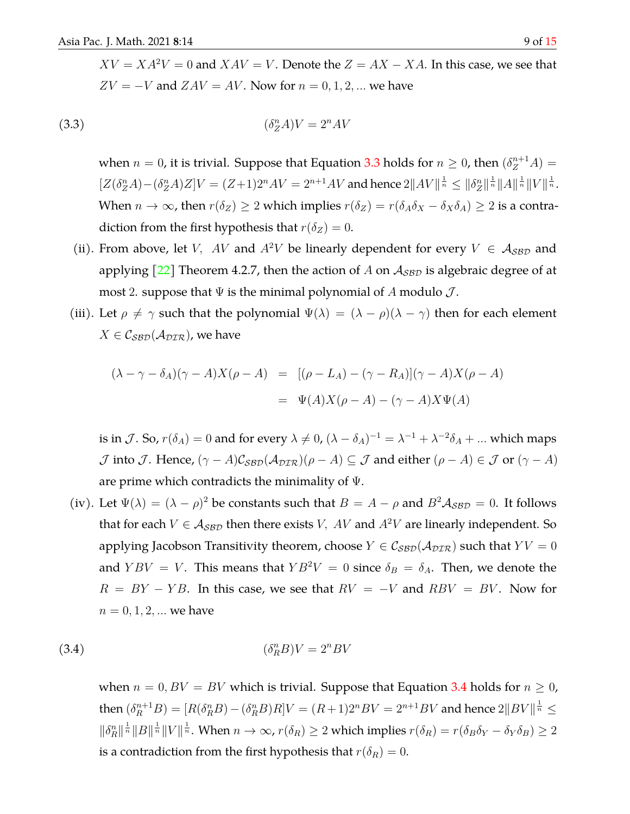(3.3) (δ n <sup>Z</sup>A)V = 2<sup>n</sup>AV

<span id="page-8-0"></span> $ZV = -V$  and  $ZAV = AV$ . Now for  $n = 0, 1, 2, ...$  we have

when  $n = 0$ , it is trivial. Suppose that Equation [3.3](#page-8-0) holds for  $n \geq 0$ , then  $(\delta_Z^{n+1}A) =$  $[Z(\delta^n_Z A) - (\delta^n_Z A)Z]V = (Z+1)2^nAV = 2^{n+1}AV$  and hence  $2||AV||^{\frac{1}{n}} \le ||\delta^n_Z||^{\frac{1}{n}}||A||^{\frac{1}{n}}||V||^{\frac{1}{n}}$ . When  $n \to \infty$ , then  $r(\delta_Z) \ge 2$  which implies  $r(\delta_Z) = r(\delta_A \delta_X - \delta_X \delta_A) \ge 2$  is a contradiction from the first hypothesis that  $r(\delta_Z) = 0$ .

- (ii). From above, let V, AV and  $A^2V$  be linearly dependent for every  $V \in A_{SBD}$  and applying  $\lceil 22 \rceil$  Theorem 4.2.7, then the action of A on  $A_{\text{SBD}}$  is algebraic degree of at most 2. suppose that  $\Psi$  is the minimal polynomial of A modulo  $\mathcal{J}$ .
- (iii). Let  $\rho \neq \gamma$  such that the polynomial  $\Psi(\lambda) = (\lambda \rho)(\lambda \gamma)$  then for each element  $X \in \mathcal{C}_{\mathcal{SBD}}(\mathcal{A}_{\mathcal{DIR}})$ , we have

$$
(\lambda - \gamma - \delta_A)(\gamma - A)X(\rho - A) = [(\rho - L_A) - (\gamma - R_A)](\gamma - A)X(\rho - A)
$$

$$
= \Psi(A)X(\rho - A) - (\gamma - A)X\Psi(A)
$$

is in  $\mathcal{J}.$  So,  $r(\delta_A)=0$  and for every  $\lambda\neq 0$ ,  $(\lambda-\delta_A)^{-1}=\lambda^{-1}+\lambda^{-2}\delta_A+...$  which maps  $\mathcal J$  into  $\mathcal J$ . Hence,  $(\gamma - A)\mathcal C_{\mathcal{SBD}}(\mathcal A_{\mathcal{DIR}})(\rho - A) \subseteq \mathcal J$  and either  $(\rho - A) \in \mathcal J$  or  $(\gamma - A)$ are prime which contradicts the minimality of Ψ.

(iv). Let  $\Psi(\lambda) = (\lambda - \rho)^2$  be constants such that  $B = A - \rho$  and  $B^2 A_{SBD} = 0$ . It follows that for each  $V \in A_{\text{SBD}}$  then there exists V, AV and  $A^2V$  are linearly independent. So applying Jacobson Transitivity theorem, choose  $Y \in \mathcal{C}_{\mathcal{SBD}}(\mathcal{A}_{\mathcal{DIR}})$  such that  $YY = 0$ and  $YBV = V$ . This means that  $YB^2V = 0$  since  $\delta_B = \delta_A$ . Then, we denote the  $R = BY - YB$ . In this case, we see that  $RV = -V$  and  $RBV = BV$ . Now for  $n = 0, 1, 2, ...$  we have

(3.4) (δ n <sup>R</sup>B)V = 2<sup>n</sup>BV

<span id="page-8-1"></span>when  $n = 0$ ,  $BV = BV$  which is trivial. Suppose that Equation [3.4](#page-8-1) holds for  $n \geq 0$ , then  $(\delta_R^{n+1}B)=[R(\delta_R^n B)-(\delta_R^n B)R]V=(R+1)2^nBV=2^{n+1}BV$  and hence  $2\|BV\|^{\frac{1}{n}}\leq$  $\|\delta_R^n\|^{\frac{1}{n}} \|B\|^{\frac{1}{n}} \|V\|^{\frac{1}{n}}$ . When  $n \to \infty$ ,  $r(\delta_R) \ge 2$  which implies  $r(\delta_R) = r(\delta_B \delta_Y - \delta_Y \delta_B) \ge 2$ is a contradiction from the first hypothesis that  $r(\delta_R) = 0$ .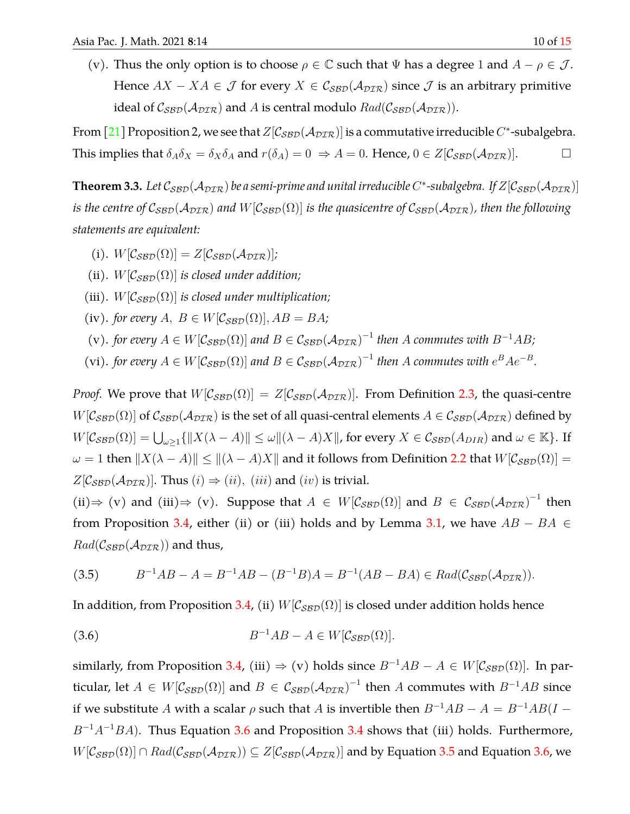(v). Thus the only option is to choose  $\rho \in \mathbb{C}$  such that  $\Psi$  has a degree 1 and  $A - \rho \in \mathcal{J}$ . Hence  $AX - XA \in \mathcal{J}$  for every  $X \in \mathcal{C}_{\mathcal{SBD}}(\mathcal{A}_{\mathcal{DIR}})$  since  $\mathcal{J}$  is an arbitrary primitive ideal of  $C_{SBD}(\mathcal{A}_{DIR})$  and A is central modulo  $Rad(C_{SBD}(\mathcal{A}_{DIR}))$ .

From [\[21\]](#page-14-8) Proposition 2, we see that  $Z[\mathcal{C}_{\mathcal{SBD}}(\mathcal{A}_{\mathcal{DIR}})]$  is a commutative irreducible  $C^*$ -subalgebra. This implies that  $\delta_A \delta_X = \delta_X \delta_A$  and  $r(\delta_A) = 0 \Rightarrow A = 0$ . Hence,  $0 \in Z[\mathcal{C}_{\mathcal{SBD}}(\mathcal{A}_{\mathcal{DIR}})].$ 

<span id="page-9-2"></span>**Theorem 3.3.** Let  $\mathcal{C}_{\mathcal{SBD}}(\mathcal{A}_{\mathcal{DIR}})$  be a semi-prime and unital irreducible C\*-subalgebra. If  $Z[\mathcal{C}_{\mathcal{SBD}}(\mathcal{A}_{\mathcal{DIR}})]$ *is the centre of*  $C_{SBD}(A_{DTR})$  *and*  $W[C_{SBD}(\Omega)]$  *is the quasicentre of*  $C_{SBD}(A_{DTR})$ *, then the following statements are equivalent:*

- (i).  $W[\mathcal{C}_{\mathcal{SBD}}(\Omega)] = Z[\mathcal{C}_{\mathcal{SBD}}(\mathcal{A}_{\mathcal{DIR}})]$ ;
- (ii).  $W[\mathcal{C}_{\mathcal{SBD}}(\Omega)]$  *is closed under addition;*
- (iii).  $W[\mathcal{C}_{\mathcal{SBD}}(\Omega)]$  *is closed under multiplication;*
- (iv). *for every*  $A, B \in W[\mathcal{C}_{\mathcal{SBD}}(\Omega)], AB = BA;$
- (v). *for every*  $A \in W[\mathcal{C}_{\mathcal{SBD}}(\Omega)]$  and  $B \in \mathcal{C}_{\mathcal{SBD}}(\mathcal{A}_{\mathcal{DIR}})^{-1}$  then A commutes with  $B^{-1}AB$ ;
- (vi). *for every*  $A \in W[\mathcal{C}_{\mathcal{SBD}}(\Omega)]$  and  $B \in \mathcal{C}_{\mathcal{SBD}}(\mathcal{A}_{\mathcal{DIR}})^{-1}$  then A commutes with  $e^B A e^{-B}$ .

*Proof.* We prove that  $W[\mathcal{C}_{\mathcal{SBD}}(\Omega)] = Z[\mathcal{C}_{\mathcal{SBD}}(\mathcal{A}_{\mathcal{DIR}})]$ . From Definition [2.3,](#page-2-0) the quasi-centre  $W[\mathcal{C}_{\mathcal{SBD}}(\Omega)]$  of  $\mathcal{C}_{\mathcal{SBD}}(\mathcal{A}_{\mathcal{DIR}})$  is the set of all quasi-central elements  $A \in \mathcal{C}_{\mathcal{SBD}}(\mathcal{A}_{\mathcal{DIR}})$  defined by  $W[\mathcal{C}_{\mathcal{SBD}}(\Omega)] = \bigcup_{\omega \geq 1} \{ ||X(\lambda - A)|| \leq \omega ||(\lambda - A)X|| \}$ , for every  $X \in \mathcal{C}_{\mathcal{SBD}}(A_{DIR})$  and  $\omega \in \mathbb{K} \}$ . If  $\omega = 1$  then  $||X(\lambda - A)|| \le ||(\lambda - A)X||$  and it follows from Definition [2.2](#page-2-1) that  $W[\mathcal{C}_{\mathcal{B}(\mathcal{D})}(\Omega)] =$  $Z[\mathcal{C}_{\mathcal{SBD}}(\mathcal{A}_{\mathcal{DIR}})]$ . Thus  $(i) \Rightarrow (ii)$ ,  $(iii)$  and  $(iv)$  is trivial.

<span id="page-9-1"></span>(ii)  $\Rightarrow$  (v) and (iii)  $\Rightarrow$  (v). Suppose that  $A \in W[\mathcal{C}_{\mathcal{SBD}}(\Omega)]$  and  $B \in \mathcal{C}_{\mathcal{SBD}}(\mathcal{A}_{\mathcal{DIR}})^{-1}$  then from Proposition [3.4,](#page-7-1) either (ii) or (iii) holds and by Lemma [3.1,](#page-7-2) we have  $AB - BA \in$  $Rad(\mathcal{C}_{\mathcal{SBD}}(\mathcal{A}_{\mathcal{DIR}}))$  and thus,

<span id="page-9-0"></span>
$$
(3.5) \t B^{-1}AB - A = B^{-1}AB - (B^{-1}B)A = B^{-1}(AB - BA) \in Rad(\mathcal{C}_{\mathcal{SBD}}(\mathcal{A}_{\mathcal{DIR}})).
$$

In addition, from Proposition [3.4,](#page-7-1) (ii)  $W[\mathcal{C}_{\mathcal{SBD}}(\Omega)]$  is closed under addition holds hence

(3.6) 
$$
B^{-1}AB - A \in W[\mathcal{C}_{\mathcal{SBD}}(\Omega)].
$$

similarly, from Proposition [3.4,](#page-7-1) (iii)  $\Rightarrow$  (v) holds since  $B^{-1}AB - A \in W[\mathcal{C}_{\mathcal{SBD}}(\Omega)]$ . In particular, let  $A \in W[\mathcal{C}_{\mathcal{SBD}}(\Omega)]$  and  $B \in \mathcal{C}_{\mathcal{SBD}}(\mathcal{A}_{\mathcal{DIR}})^{-1}$  then A commutes with  $B^{-1}AB$  since if we substitute A with a scalar  $\rho$  such that A is invertible then  $B^{-1}AB - A = B^{-1}AB(I - A)$  $B^{-1}A^{-1}BA$ ). Thus Equation [3.6](#page-9-0) and Proposition [3.4](#page-7-1) shows that (iii) holds. Furthermore,  $W[\mathcal{C}_{\mathcal{SBD}}(\Omega)] \cap \text{Rad}(\mathcal{C}_{\mathcal{SBD}}(\mathcal{A}_{\mathcal{DIR}})) \subseteq Z[\mathcal{C}_{\mathcal{SBD}}(\mathcal{A}_{\mathcal{DIR}})]$  and by Equation [3.5](#page-9-1) and Equation [3.6,](#page-9-0) we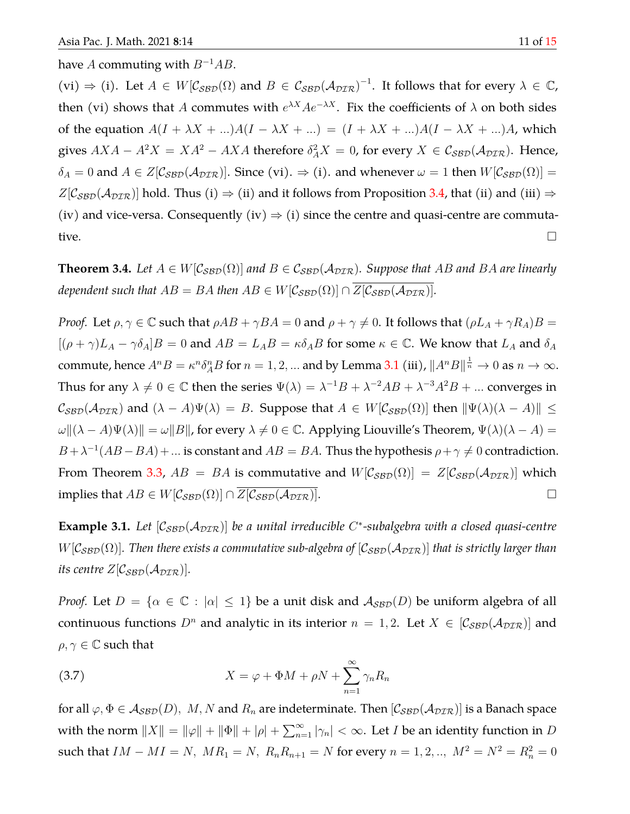## have A commuting with  $B^{-1}AB$ .

 $(vi) \Rightarrow (i)$ . Let  $A \in W[\mathcal{C}_{\mathcal{SBD}}(\Omega)]$  and  $B \in \mathcal{C}_{\mathcal{SBD}}(\mathcal{A}_{\mathcal{DIR}})^{-1}$ . It follows that for every  $\lambda \in \mathbb{C}$ , then (vi) shows that A commutes with  $e^{\lambda X}Ae^{-\lambda X}$ . Fix the coefficients of  $\lambda$  on both sides of the equation  $A(I + \lambda X + ...)A(I - \lambda X + ...) = (I + \lambda X + ...)A(I - \lambda X + ...)A$ , which gives  $AXA - A^2X = XA^2 - AXA$  therefore  $\delta_A^2X = 0$ , for every  $X \in \mathcal{C}_{\mathcal{SBD}}(\mathcal{A}_{\mathcal{DIR}})$ . Hence,  $\delta_A = 0$  and  $A \in Z[\mathcal{C}_{\mathcal{SBD}}(\mathcal{A}_{\mathcal{DIR}})]$ . Since (vi).  $\Rightarrow$  (i). and whenever  $\omega = 1$  then  $W[\mathcal{C}_{\mathcal{SBD}}(\Omega)] =$  $Z[\mathcal{C}_{\text{SBD}}(\mathcal{A}_{\text{DTR}})]$  hold. Thus (i)  $\Rightarrow$  (ii) and it follows from Proposition [3.4,](#page-7-1) that (ii) and (iii)  $\Rightarrow$ (iv) and vice-versa. Consequently (iv)  $\Rightarrow$  (i) since the centre and quasi-centre are commutative.  $\Box$ 

**Theorem 3.4.** Let  $A \in W[C_{\text{SBD}}(\Omega)]$  and  $B \in C_{\text{SBD}}(\mathcal{A}_{\text{DTR}})$ . Suppose that AB and BA are linearly *dependent such that*  $AB = BA$  *then*  $AB \in W[\mathcal{C}_{SRD}(\Omega)] \cap \overline{Z[\mathcal{C}_{SRD}(\mathcal{A}_{DTR})]}$ .

*Proof.* Let  $\rho, \gamma \in \mathbb{C}$  such that  $\rho AB + \gamma BA = 0$  and  $\rho + \gamma \neq 0$ . It follows that  $(\rho L_A + \gamma R_A)B =$  $[(\rho + \gamma)L_A - \gamma \delta_A]B = 0$  and  $AB = L_A B = \kappa \delta_A B$  for some  $\kappa \in \mathbb{C}$ . We know that  $L_A$  and  $\delta_A$ commute, hence  $A^nB=\kappa^n\delta^n_A B$  for  $n=1,2,...$  and by Lemma [3.1](#page-7-2) (iii),  $\|A^nB\|^{\frac{1}{n}}\to 0$  as  $n\to\infty.$ Thus for any  $\lambda \neq 0 \in \mathbb{C}$  then the series  $\Psi(\lambda) = \lambda^{-1}B + \lambda^{-2}AB + \lambda^{-3}A^2B + ...$  converges in  $C_{SBD}(\mathcal{A}_{DIR})$  and  $(\lambda - A)\Psi(\lambda) = B$ . Suppose that  $A \in W[\mathcal{C}_{SBD}(\Omega)]$  then  $\|\Psi(\lambda)(\lambda - A)\| \le$  $\omega$ | $(\lambda - A)\Psi(\lambda)$ || =  $\omega$ ||B||, for every  $\lambda \neq 0 \in \mathbb{C}$ . Applying Liouville's Theorem,  $\Psi(\lambda)(\lambda - A)$  =  $B + \lambda^{-1}(AB - BA) + ...$  is constant and  $AB = BA$ . Thus the hypothesis  $\rho + \gamma \neq 0$  contradiction. From Theorem [3.3,](#page-9-2)  $AB = BA$  is commutative and  $W[\mathcal{C}_{\mathcal{SBD}}(\Omega)] = Z[\mathcal{C}_{\mathcal{SBD}}(\mathcal{A}_{\mathcal{DIR}})]$  which implies that  $AB \in W[\mathcal{C}_{\mathcal{SBD}}(\Omega)] \cap \overline{Z[\mathcal{C}_{\mathcal{SBD}}(\mathcal{A}_{\mathcal{DIR}})]}$ .

**Example 3.1.** Let [C<sub>SBD</sub>( $A_{\text{DIR}}$ )] be a unital irreducible C<sup>\*</sup>-subalgebra with a closed quasi-centre  $W[\mathcal{C}_{\text{SBD}}(\Omega)]$ . Then there exists a commutative sub-algebra of  $[\mathcal{C}_{\text{SBD}}(\mathcal{A}_{\text{DTR}})]$  that is strictly larger than *its centre*  $Z[\mathcal{C}_{SBD}(\mathcal{A}_{DTR})]$ *.* 

*Proof.* Let  $D = \{ \alpha \in \mathbb{C} : |\alpha| \leq 1 \}$  be a unit disk and  $A_{\mathcal{SBD}}(D)$  be uniform algebra of all continuous functions  $D^n$  and analytic in its interior  $n = 1, 2$ . Let  $X \in [C_{\text{SBD}}(\mathcal{A}_{\text{DIR}})]$  and  $\rho, \gamma \in \mathbb{C}$  such that

<span id="page-10-0"></span>(3.7) 
$$
X = \varphi + \Phi M + \rho N + \sum_{n=1}^{\infty} \gamma_n R_n
$$

for all  $\varphi, \Phi \in A_{\mathcal{SBD}}(D)$ , M, N and  $R_n$  are indeterminate. Then  $[\mathcal{C}_{\mathcal{SBD}}(\mathcal{A}_{\mathcal{DTR}})]$  is a Banach space with the norm  $||X|| = ||\varphi|| + ||\Phi|| + |\rho| + \sum_{n=1}^{\infty} |\gamma_n| < \infty$ . Let *I* be an identity function in *D* such that  $IM - MI = N$ ,  $MR_1 = N$ ,  $R_n R_{n+1} = N$  for every  $n = 1, 2, ..., M^2 = N^2 = R_n^2 = 0$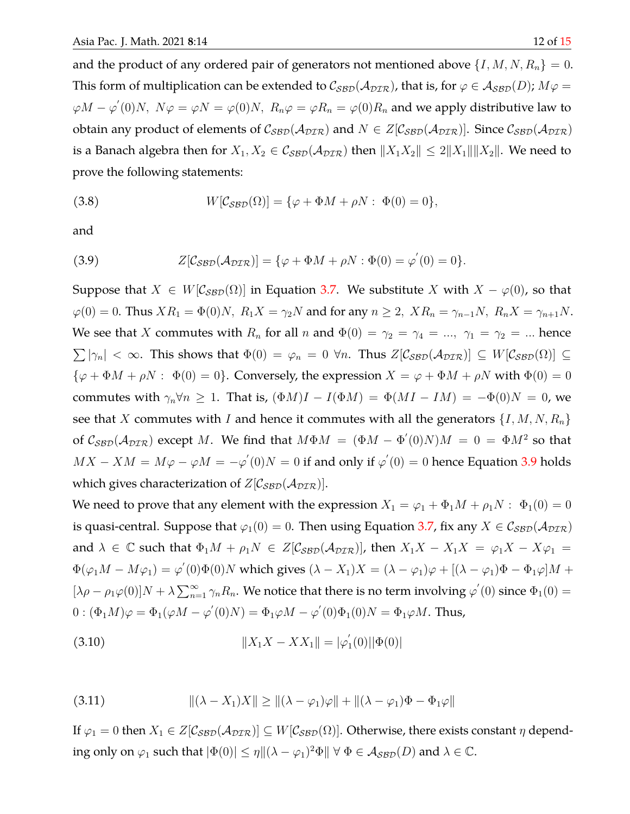and the product of any ordered pair of generators not mentioned above  $\{I, M, N, R_n\} = 0$ . This form of multiplication can be extended to  $C_{\mathcal{SBD}}(\mathcal{A}_{\mathcal{DIR}})$ , that is, for  $\varphi \in \mathcal{A}_{\mathcal{SBD}}(D)$ ;  $M\varphi =$  $\varphi M-\varphi^{'}(0)N,\,\,N\varphi=\varphi N=\varphi(0)N,\,\,R_n\varphi=\varphi R_n=\varphi(0)R_n$  and we apply distributive law to obtain any product of elements of  $C_{SBD}(A_{DTR})$  and  $N \in Z[C_{SBD}(A_{DTR})]$ . Since  $C_{SBD}(A_{DTR})$ is a Banach algebra then for  $X_1, X_2 \in C_{SBD}(\mathcal{A}_{DTR})$  then  $||X_1X_2|| \le 2||X_1|| ||X_2||$ . We need to prove the following statements:

<span id="page-11-2"></span>(3.8) 
$$
W[\mathcal{C}_{\mathcal{SBD}}(\Omega)] = {\varphi + \Phi M + \rho N : \Phi(0) = 0},
$$

<span id="page-11-0"></span>and

(3.9) 
$$
Z[\mathcal{C}_{\mathcal{SBD}}(\mathcal{A}_{\mathcal{DIR}})] = {\varphi + \Phi M + \rho N : \Phi(0) = \varphi'(0) = 0}.
$$

Suppose that  $X \in W[\mathcal{C}_{\mathcal{SBD}}(\Omega)]$  in Equation [3.7.](#page-10-0) We substitute X with  $X - \varphi(0)$ , so that  $\varphi(0) = 0$ . Thus  $XR_1 = \Phi(0)N$ ,  $R_1X = \gamma_2N$  and for any  $n \ge 2$ ,  $XR_n = \gamma_{n-1}N$ ,  $R_nX = \gamma_{n+1}N$ . We see that X commutes with  $R_n$  for all n and  $\Phi(0) = \gamma_2 = \gamma_4 = ..., \gamma_1 = \gamma_2 = ...$  hence  $\sum |\gamma_n| < \infty$ . This shows that  $\Phi(0) = \varphi_n = 0$   $\forall n$ . Thus  $Z[\mathcal{C}_{\mathcal{SBD}}(\mathcal{A}_{\mathcal{DIR}})] \subseteq W[\mathcal{C}_{\mathcal{SBD}}(\Omega)] \subseteq$  $\{\varphi + \Phi M + \rho N : \Phi(0) = 0\}$ . Conversely, the expression  $X = \varphi + \Phi M + \rho N$  with  $\Phi(0) = 0$ commutes with  $\gamma_n \forall n \geq 1$ . That is,  $(\Phi M)I - I(\Phi M) = \Phi (MI - IM) = -\Phi(0)N = 0$ , we see that X commutes with I and hence it commutes with all the generators  $\{I, M, N, R_n\}$ of  $C_{\text{SBD}}(\mathcal{A}_{\text{DIR}})$  except M. We find that  $M\Phi M = (\Phi M - \Phi'(0)N)M = 0 = \Phi M^2$  so that  $MX - XM = M\varphi - \varphi M = -\varphi'(0)N = 0$  if and only if  $\varphi'(0) = 0$  hence Equation [3.9](#page-11-0) holds which gives characterization of  $Z[\mathcal{C}_{\mathcal{SBD}}(\mathcal{A}_{\mathcal{DIR}})].$ 

We need to prove that any element with the expression  $X_1 = \varphi_1 + \Phi_1 M + \rho_1 N$ :  $\Phi_1(0) = 0$ is quasi-central. Suppose that  $\varphi_1(0) = 0$ . Then using Equation [3.7,](#page-10-0) fix any  $X \in \mathcal{C}_{SBD}(\mathcal{A}_{DTR})$ and  $\lambda \in \mathbb{C}$  such that  $\Phi_1 M + \rho_1 N \in Z[\mathcal{C}_{SBD}(\mathcal{A}_{DTR})]$ , then  $X_1 X - X_1 X = \varphi_1 X - X \varphi_1 =$  $\Phi(\varphi_1 M - M\varphi_1) = \varphi'(0)\Phi(0)N$  which gives  $(\lambda - X_1)X = (\lambda - \varphi_1)\varphi + [(\lambda - \varphi_1)\Phi - \Phi_1\varphi]M +$  $[\lambda \rho - \rho_1 \varphi(0)]N + \lambda \sum_{n=1}^{\infty} \gamma_n R_n$ . We notice that there is no term involving  $\varphi'(0)$  since  $\Phi_1(0)$  =  $0:(\Phi_1M)\varphi=\Phi_1(\varphi M-\varphi^{'}(0)N)=\Phi_1\varphi M-\varphi^{'}(0)\Phi_1(0)N=\Phi_1\varphi M.$  Thus,

<span id="page-11-1"></span>(3.10) 
$$
||X_1X - XX_1|| = |\varphi_1'(0)||\Phi(0)|
$$

(3.11) 
$$
\|(\lambda - X_1)X\| \geq \|(\lambda - \varphi_1)\varphi\| + \|(\lambda - \varphi_1)\Phi - \Phi_1\varphi\|
$$

If  $\varphi_1 = 0$  then  $X_1 \in Z[\mathcal{C}_{\mathcal{SBD}}(\mathcal{A}_{\mathcal{DIR}})] \subseteq W[\mathcal{C}_{\mathcal{SBD}}(\Omega)]$ . Otherwise, there exists constant  $\eta$  depending only on  $\varphi_1$  such that  $|\Phi(0)| \leq \eta ||(\lambda - \varphi_1)^2 \Phi|| \ \forall \ \Phi \in \mathcal{A}_{\mathcal{SBD}}(D)$  and  $\lambda \in \mathbb{C}$ .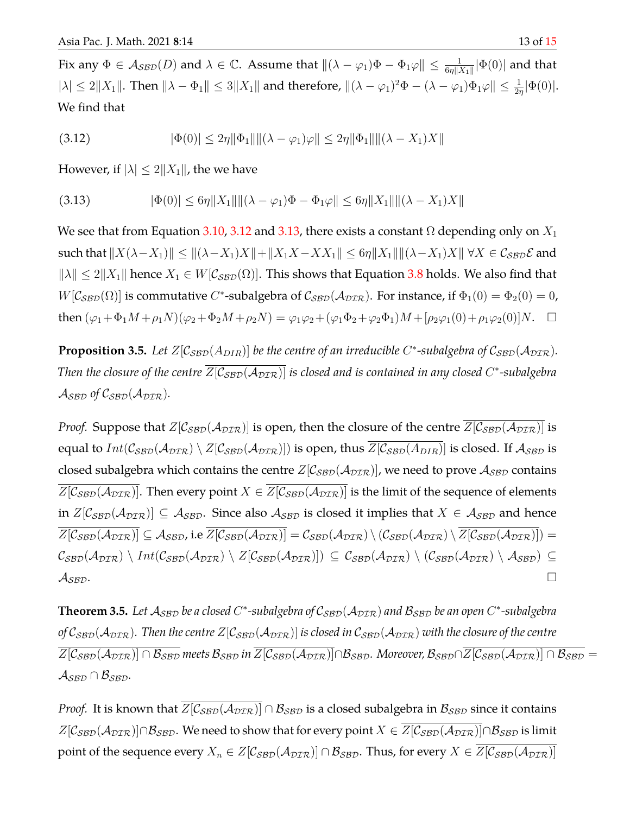<span id="page-12-0"></span>Fix any  $\Phi\in\mathcal{A_{SBD}}(D)$  and  $\lambda\in\mathbb{C}.$  Assume that  $\|(\lambda-\varphi_1)\Phi-\Phi_1\varphi\|\leq\frac{1}{6\eta\|X_1\|}|\Phi(0)|$  and that  $|\lambda| \leq 2||X_1||$ . Then  $||\lambda - \Phi_1|| \leq 3||X_1||$  and therefore,  $||(\lambda - \varphi_1)^2 \Phi - (\lambda - \varphi_1)\Phi_1 \varphi|| \leq \frac{1}{2\eta}|\Phi(0)|$ . We find that

$$
(3.12) \t\t |\Phi(0)| \le 2\eta \|\Phi_1\| \|\lambda - \varphi_1\varphi\| \le 2\eta \|\Phi_1\| \|\lambda - X_1\} X\|
$$

<span id="page-12-1"></span>However, if  $|\lambda| \leq 2||X_1||$ , the we have

$$
(3.13) \t\t |\Phi(0)| \le 6\eta \|X_1\| \|\lambda - \varphi_1\| \Phi - \Phi_1\varphi\| \le 6\eta \|X_1\| \|\lambda - X_1\| \|\phi_1\|
$$

We see that from Equation [3.10,](#page-11-1) [3.12](#page-12-0) and [3.13,](#page-12-1) there exists a constant  $\Omega$  depending only on  $X_1$ such that  $||X(\lambda-X_1)|| \le ||(\lambda-X_1)X|| + ||X_1X-XX_1|| \le 6\eta ||X_1||||(\lambda-X_1)X|| \forall X \in C_{SBD} \mathcal{E}$  and  $\|\lambda\| \leq 2\|X_1\|$  hence  $X_1 \in W[\mathcal{C}_{\mathcal{SBD}}(\Omega)]$ . This shows that Equation [3.8](#page-11-2) holds. We also find that  $W[\mathcal{C}_{\mathcal{SBD}}(\Omega)]$  is commutative C\*-subalgebra of  $\mathcal{C}_{\mathcal{SBD}}(\mathcal{A}_{\mathcal{DIR}})$ . For instance, if  $\Phi_1(0) = \Phi_2(0) = 0$ , then  $(\varphi_1 + \Phi_1 M + \rho_1 N)(\varphi_2 + \Phi_2 M + \rho_2 N) = \varphi_1 \varphi_2 + (\varphi_1 \Phi_2 + \varphi_2 \Phi_1) M + [\rho_2 \varphi_1(0) + \rho_1 \varphi_2(0)] N$ .  $\Box$ 

**Proposition 3.5.** Let  $Z[\mathcal{C}_{\mathcal{SBD}}(A_{DIR})]$  be the centre of an irreducible C\*-subalgebra of  $\mathcal{C}_{\mathcal{SBD}}(A_{DIR})$ . Then the closure of the centre  $\overline{Z[\mathcal{C}_{\mathcal{SBD}}(\mathcal{A}_{\mathcal{DIR}})]}$  is closed and is contained in any closed C\*-subalgebra  $\mathcal{A}_{\mathcal{SBD}}$  of  $\mathcal{C}_{\mathcal{SBD}}(\mathcal{A}_{\mathcal{DIR}})$ .

*Proof.* Suppose that  $Z[\mathcal{C}_{SBD}(\mathcal{A}_{DTR})]$  is open, then the closure of the centre  $\overline{Z[\mathcal{C}_{SBD}(\mathcal{A}_{DTR})]}$  is equal to  $Int(\mathcal{C}_{\text{SBD}}(\mathcal{A}_{\text{DTR}}) \setminus Z[\mathcal{C}_{\text{SBD}}(\mathcal{A}_{\text{DTR}})])$  is open, thus  $Z[\mathcal{C}_{\text{SBD}}(A_{\text{DIR}})]$  is closed. If  $\mathcal{A}_{\text{SBD}}$  is closed subalgebra which contains the centre  $Z[\mathcal{C}_{\text{SBD}}(\mathcal{A}_{\text{DTR}})]$ , we need to prove  $\mathcal{A}_{\text{SBD}}$  contains  $Z[\mathcal{C}_{\mathcal{SBD}}(\mathcal{A}_{\mathcal{DIR}})]$ . Then every point  $X \in Z[\mathcal{C}_{\mathcal{SBD}}(\mathcal{A}_{\mathcal{DIR}})]$  is the limit of the sequence of elements in  $Z[\mathcal{C}_{\mathcal{SBD}}(\mathcal{A}_{\mathcal{DIR}})] \subseteq \mathcal{A}_{\mathcal{SBD}}$ . Since also  $\mathcal{A}_{\mathcal{SBD}}$  is closed it implies that  $X \in \mathcal{A}_{\mathcal{SBD}}$  and hence  $\overline{Z[\mathcal{C}_{\mathcal{SBD}}(\mathcal{A}_{\mathcal{DIR}})]} \subseteq \mathcal{A}_{\mathcal{SBD}}$ , i.e  $\overline{Z[\mathcal{C}_{\mathcal{SBD}}(\mathcal{A}_{\mathcal{DIR}})]} = \mathcal{C}_{\mathcal{SBD}}(\mathcal{A}_{\mathcal{DIR}}) \setminus (\mathcal{C}_{\mathcal{SBD}}(\mathcal{A}_{\mathcal{DIR}}) \setminus \overline{Z[\mathcal{C}_{\mathcal{SBD}}(\mathcal{A}_{\mathcal{DIR}})]}) =$  $\mathcal{C}_{\mathcal{SBD}}(\mathcal{A}_{\mathcal{DIR}}) \setminus Int(\mathcal{C}_{\mathcal{SBD}}(\mathcal{A}_{\mathcal{DIR}}) \setminus Z[\mathcal{C}_{\mathcal{SBD}}(\mathcal{A}_{\mathcal{DIR}})]) \subseteq \mathcal{C}_{\mathcal{SBD}}(\mathcal{A}_{\mathcal{DIR}}) \setminus (\mathcal{C}_{\mathcal{SBD}}(\mathcal{A}_{\mathcal{DIR}}) \setminus \mathcal{A}_{\mathcal{SBD}}) \subseteq$  $\mathcal{A}_{\mathcal{SBD}}$ .

 $\bf{Theorem 3.5.}$  Let  $\cal A_{SBD}$  be a closed  $C^*$ -subalgebra of  $\cal C_{SBD}(A_{DTR})$  and  $\cal B_{SBD}$  be an open  $C^*$ -subalgebra *of*  $C_{SBD}(A_{DIR})$ . Then the centre  $Z[C_{SBD}(A_{DIR})]$  is closed in  $C_{SBD}(A_{DIR})$  with the closure of the centre  $\overline{Z[\mathcal{C}_{\mathcal{SBD}}(\mathcal{A}_{\mathcal{DIR}})] \cap \mathcal{B}_{\mathcal{SBD}}}$  meets  $\mathcal{B}_{\mathcal{SBD}}$  in  $\overline{Z[\mathcal{C}_{\mathcal{SBD}}(\mathcal{A}_{\mathcal{DIR}})] \cap \mathcal{B}_{\mathcal{SBD}}}$ . Moreover,  $\mathcal{B}_{\mathcal{SBD}} \cap \overline{Z[\mathcal{C}_{\mathcal{SBD}}(\mathcal{A}_{\mathcal{DIR}})] \cap \mathcal{B}_{\mathcal{SBD}}} =$  $\mathcal{A}_{\mathcal{SBD}} \cap \mathcal{B}_{\mathcal{SBD}}.$ 

*Proof.* It is known that  $\overline{Z[C_{SBD}(A_{DTR})]} \cap B_{SBD}$  is a closed subalgebra in  $B_{SBD}$  since it contains  $Z[\mathcal{C}_{SBD}(\mathcal{A}_{DIR})]\cap\mathcal{B}_{SBD}$ . We need to show that for every point  $X\in \overline{Z[\mathcal{C}_{SBD}(\mathcal{A}_{DIR})]}\cap\mathcal{B}_{SBD}$  is limit point of the sequence every  $X_n \in Z[\mathcal{C}_{\mathcal{SBD}}(\mathcal{A}_{\mathcal{DIR}})] \cap \mathcal{B}_{\mathcal{SBD}}$ . Thus, for every  $X \in \overline{Z[\mathcal{C}_{\mathcal{SBD}}(\mathcal{A}_{\mathcal{DIR}})]}$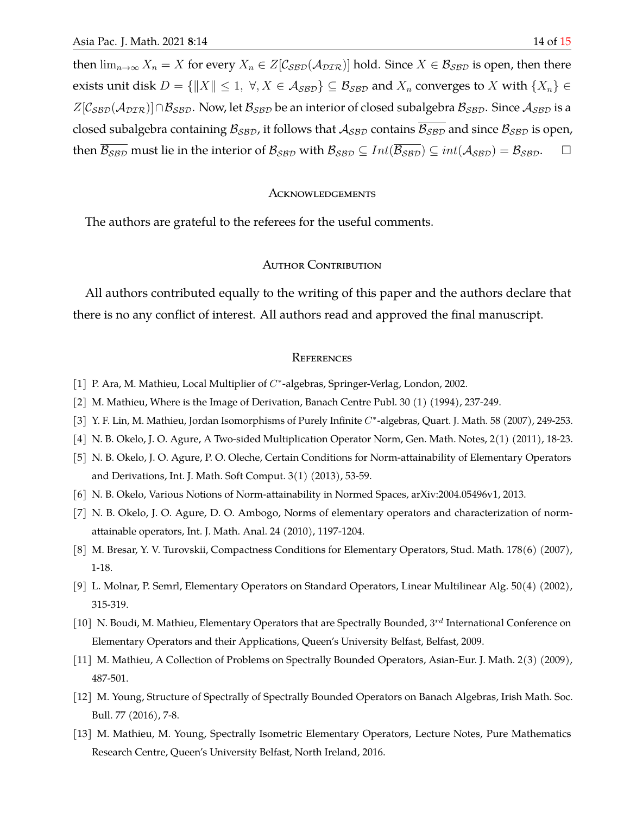then  $\lim_{n\to\infty}X_n=X$  for every  $X_n\in Z[\mathcal{C}_{\mathcal{SBD}}(\mathcal{A}_{\mathcal{DIR}})]$  hold. Since  $X\in\mathcal{B}_{\mathcal{SBD}}$  is open, then there exists unit disk  $D = \{||X|| \leq 1, \forall, X \in \mathcal{A}_{\mathcal{SBD}}\} \subseteq \mathcal{B}_{\mathcal{SBD}}$  and  $X_n$  converges to X with  $\{X_n\} \in$  $Z[\mathcal{C}_{\mathcal{SBD}}(\mathcal{A}_{\mathcal{DIR}})] \cap \mathcal{B}_{\mathcal{SBD}}$ . Now, let  $\mathcal{B}_{\mathcal{SBD}}$  be an interior of closed subalgebra  $\mathcal{B}_{\mathcal{SBD}}$ . Since  $\mathcal{A}_{\mathcal{SBD}}$  is a closed subalgebra containing  $B_{\text{SBD}}$ , it follows that  $A_{\text{SBD}}$  contains  $B_{\text{SBD}}$  and since  $B_{\text{SBD}}$  is open, then  $\overline{\mathcal{B}_{\mathcal{SBD}}}$  must lie in the interior of  $\mathcal{B}_{\mathcal{SBD}}$  with  $\mathcal{B}_{\mathcal{SBD}} \subseteq Int(\overline{\mathcal{B}_{\mathcal{SBD}}} ) \subseteq int(\mathcal{A}_{\mathcal{SBD}}) = \mathcal{B}_{\mathcal{SBD}}.$ 

## **ACKNOWLEDGEMENTS**

The authors are grateful to the referees for the useful comments.

## AUTHOR CONTRIBUTION

All authors contributed equally to the writing of this paper and the authors declare that there is no any conflict of interest. All authors read and approved the final manuscript.

## **REFERENCES**

- <span id="page-13-0"></span>[1] P. Ara, M. Mathieu, Local Multiplier of C<sup>\*</sup>-algebras, Springer-Verlag, London, 2002.
- <span id="page-13-1"></span>[2] M. Mathieu, Where is the Image of Derivation, Banach Centre Publ. 30 (1) (1994), 237-249.
- <span id="page-13-2"></span>[3] Y. F. Lin, M. Mathieu, Jordan Isomorphisms of Purely Infinite C\*-algebras, Quart. J. Math. 58 (2007), 249-253.
- <span id="page-13-3"></span>[4] N. B. Okelo, J. O. Agure, A Two-sided Multiplication Operator Norm, Gen. Math. Notes, 2(1) (2011), 18-23.
- <span id="page-13-4"></span>[5] N. B. Okelo, J. O. Agure, P. O. Oleche, Certain Conditions for Norm-attainability of Elementary Operators and Derivations, Int. J. Math. Soft Comput. 3(1) (2013), 53-59.
- <span id="page-13-5"></span>[6] N. B. Okelo, Various Notions of Norm-attainability in Normed Spaces, arXiv:2004.05496v1, 2013.
- <span id="page-13-6"></span>[7] N. B. Okelo, J. O. Agure, D. O. Ambogo, Norms of elementary operators and characterization of normattainable operators, Int. J. Math. Anal. 24 (2010), 1197-1204.
- <span id="page-13-7"></span>[8] M. Bresar, Y. V. Turovskii, Compactness Conditions for Elementary Operators, Stud. Math. 178(6) (2007), 1-18.
- <span id="page-13-8"></span>[9] L. Molnar, P. Semrl, Elementary Operators on Standard Operators, Linear Multilinear Alg. 50(4) (2002), 315-319.
- <span id="page-13-9"></span>[10] N. Boudi, M. Mathieu, Elementary Operators that are Spectrally Bounded, 3<sup>rd</sup> International Conference on Elementary Operators and their Applications, Queen's University Belfast, Belfast, 2009.
- <span id="page-13-10"></span>[11] M. Mathieu, A Collection of Problems on Spectrally Bounded Operators, Asian-Eur. J. Math. 2(3) (2009), 487-501.
- <span id="page-13-11"></span>[12] M. Young, Structure of Spectrally of Spectrally Bounded Operators on Banach Algebras, Irish Math. Soc. Bull. 77 (2016), 7-8.
- <span id="page-13-12"></span>[13] M. Mathieu, M. Young, Spectrally Isometric Elementary Operators, Lecture Notes, Pure Mathematics Research Centre, Queen's University Belfast, North Ireland, 2016.